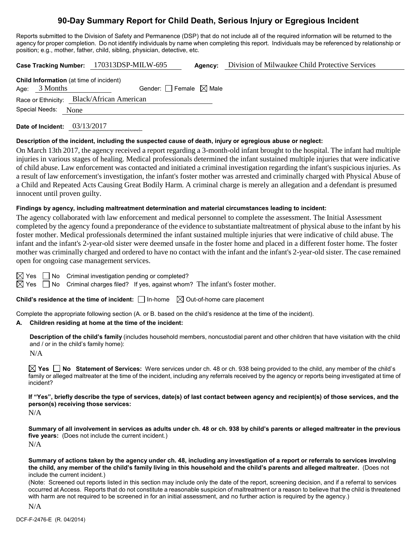# **90-Day Summary Report for Child Death, Serious Injury or Egregious Incident**

Reports submitted to the Division of Safety and Permanence (DSP) that do not include all of the required information will be returned to the agency for proper completion. Do not identify individuals by name when completing this report. Individuals may be referenced by relationship or position; e.g., mother, father, child, sibling, physician, detective, etc.

**Case Tracking Number:** 170313DSP-MILW-695 **Agency:** Division of Milwaukee Child Protective Services

|                                           |                 | <b>Child Information</b> (at time of incident) |  |  |  |
|-------------------------------------------|-----------------|------------------------------------------------|--|--|--|
|                                           | Age: $3$ Months | Gender: Female $\boxtimes$ Male                |  |  |  |
| Race or Ethnicity: Black/African American |                 |                                                |  |  |  |
|                                           | Special Needs:  | None                                           |  |  |  |

**Date of Incident:** 03/13/2017

#### **Description of the incident, including the suspected cause of death, injury or egregious abuse or neglect:**

On March 13th 2017, the agency received a report regarding a 3-month-old infant brought to the hospital. The infant had multiple injuries in various stages of healing. Medical professionals determined the infant sustained multiple injuries that were indicative of child abuse. Law enforcement was contacted and initiated a criminal investigation regarding the infant's suspicious injuries. As a result of law enforcement's investigation, the infant's foster mother was arrested and criminally charged with Physical Abuse of a Child and Repeated Acts Causing Great Bodily Harm. A criminal charge is merely an allegation and a defendant is presumed innocent until proven guilty.

#### **Findings by agency, including maltreatment determination and material circumstances leading to incident:**

The agency collaborated with law enforcement and medical personnel to complete the assessment. The Initial Assessment completed by the agency found a preponderance of the evidence to substantiate maltreatment of physical abuse to the infant by his foster mother. Medical professionals determined the infant sustained multiple injuries that were indicative of child abuse. The infant and the infant's 2-year-old sister were deemed unsafe in the foster home and placed in a different foster home. The foster mother was criminally charged and ordered to have no contact with the infant and the infant's 2-year-old sister. The case remained open for ongoing case management services.

 $\boxtimes$  Yes  $\Box$  No Criminal investigation pending or completed?

 $\boxtimes$  Yes  $\Box$  No Criminal charges filed? If yes, against whom? The infant's foster mother.

**Child's residence at the time of incident:**  $\Box$  In-home  $\Box$  Out-of-home care placement

Complete the appropriate following section (A. or B. based on the child's residence at the time of the incident).

#### **A. Children residing at home at the time of the incident:**

**Description of the child's family** (includes household members, noncustodial parent and other children that have visitation with the child and / or in the child's family home):

N/A

**Yes No Statement of Services:** Were services under ch. 48 or ch. 938 being provided to the child, any member of the child's family or alleged maltreater at the time of the incident, including any referrals received by the agency or reports being investigated at time of incident?

**If "Yes", briefly describe the type of services, date(s) of last contact between agency and recipient(s) of those services, and the person(s) receiving those services:**

N/A

**Summary of all involvement in services as adults under ch. 48 or ch. 938 by child's parents or alleged maltreater in the previous five years:** (Does not include the current incident.) N/A

**Summary of actions taken by the agency under ch. 48, including any investigation of a report or referrals to services involving the child, any member of the child's family living in this household and the child's parents and alleged maltreater.** (Does not include the current incident.)

(Note: Screened out reports listed in this section may include only the date of the report, screening decision, and if a referral to services occurred at Access. Reports that do not constitute a reasonable suspicion of maltreatment or a reason to believe that the child is threatened with harm are not required to be screened in for an initial assessment, and no further action is required by the agency.)

N/A